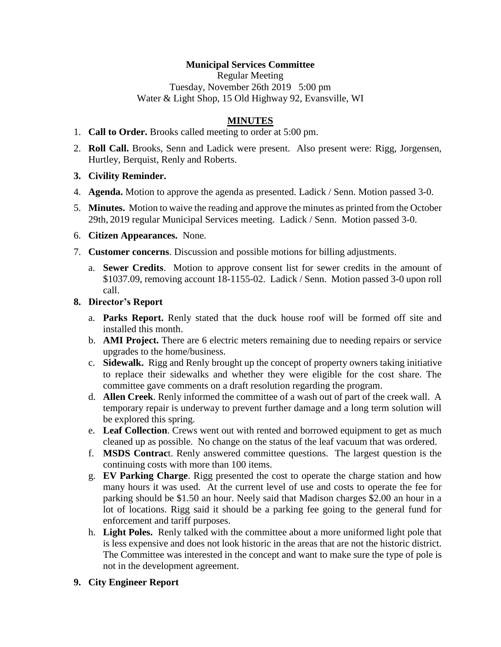## **Municipal Services Committee**

Regular Meeting Tuesday, November 26th 2019 5:00 pm Water & Light Shop, 15 Old Highway 92, Evansville, WI

## **MINUTES**

- 1. **Call to Order.** Brooks called meeting to order at 5:00 pm.
- 2. **Roll Call.** Brooks, Senn and Ladick were present. Also present were: Rigg, Jorgensen, Hurtley, Berquist, Renly and Roberts.
- **3. Civility Reminder.**
- 4. **Agenda.** Motion to approve the agenda as presented. Ladick / Senn. Motion passed 3-0.
- 5. **Minutes.** Motion to waive the reading and approve the minutes as printed from the October 29th, 2019 regular Municipal Services meeting. Ladick / Senn. Motion passed 3-0.
- 6. **Citizen Appearances.** None.
- 7. **Customer concerns**. Discussion and possible motions for billing adjustments.
	- a. **Sewer Credits**. Motion to approve consent list for sewer credits in the amount of \$1037.09, removing account 18-1155-02. Ladick / Senn. Motion passed 3-0 upon roll call.
- **8. Director's Report**
	- a. **Parks Report.** Renly stated that the duck house roof will be formed off site and installed this month.
	- b. **AMI Project.** There are 6 electric meters remaining due to needing repairs or service upgrades to the home/business.
	- c. **Sidewalk.** Rigg and Renly brought up the concept of property owners taking initiative to replace their sidewalks and whether they were eligible for the cost share. The committee gave comments on a draft resolution regarding the program.
	- d. **Allen Creek**. Renly informed the committee of a wash out of part of the creek wall. A temporary repair is underway to prevent further damage and a long term solution will be explored this spring.
	- e. **Leaf Collection**. Crews went out with rented and borrowed equipment to get as much cleaned up as possible. No change on the status of the leaf vacuum that was ordered.
	- f. **MSDS Contrac**t. Renly answered committee questions. The largest question is the continuing costs with more than 100 items.
	- g. **EV Parking Charge**. Rigg presented the cost to operate the charge station and how many hours it was used. At the current level of use and costs to operate the fee for parking should be \$1.50 an hour. Neely said that Madison charges \$2.00 an hour in a lot of locations. Rigg said it should be a parking fee going to the general fund for enforcement and tariff purposes.
	- h. **Light Poles.** Renly talked with the committee about a more uniformed light pole that is less expensive and does not look historic in the areas that are not the historic district. The Committee was interested in the concept and want to make sure the type of pole is not in the development agreement.
- **9. City Engineer Report**